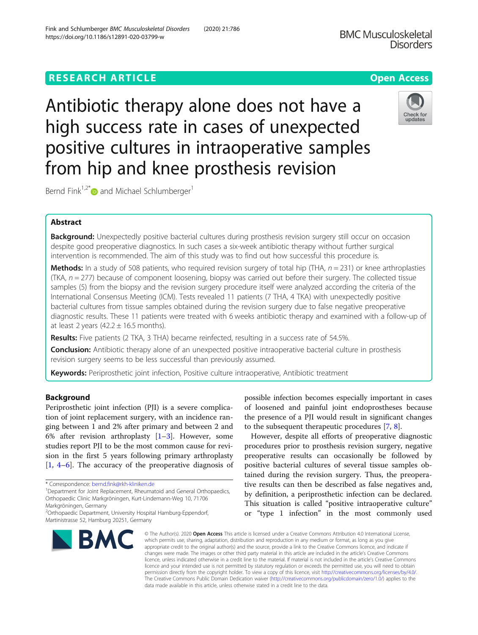# **RESEARCH ARTICLE Example 2014 12:30 The Contract of Contract ACCESS**

Antibiotic therapy alone does not have a high success rate in cases of unexpected positive cultures in intraoperative samples from hip and knee prosthesis revision

Bernd Fink<sup>1,2[\\*](http://orcid.org/0000-0002-7485-3941)</sup> $\bullet$  and Michael Schlumberger<sup>1</sup>

## Abstract

Background: Unexpectedly positive bacterial cultures during prosthesis revision surgery still occur on occasion despite good preoperative diagnostics. In such cases a six-week antibiotic therapy without further surgical intervention is recommended. The aim of this study was to find out how successful this procedure is.

**Methods:** In a study of 508 patients, who required revision surgery of total hip (THA,  $n = 231$ ) or knee arthroplasties (TKA,  $n = 277$ ) because of component loosening, biopsy was carried out before their surgery. The collected tissue samples (5) from the biopsy and the revision surgery procedure itself were analyzed according the criteria of the International Consensus Meeting (ICM). Tests revealed 11 patients (7 THA, 4 TKA) with unexpectedly positive bacterial cultures from tissue samples obtained during the revision surgery due to false negative preoperative diagnostic results. These 11 patients were treated with 6 weeks antibiotic therapy and examined with a follow-up of at least 2 years  $(42.2 \pm 16.5 \text{ months}).$ 

Results: Five patients (2 TKA, 3 THA) became reinfected, resulting in a success rate of 54.5%.

**Conclusion:** Antibiotic therapy alone of an unexpected positive intraoperative bacterial culture in prosthesis revision surgery seems to be less successful than previously assumed.

Keywords: Periprosthetic joint infection, Positive culture intraoperative, Antibiotic treatment

## Background

Periprosthetic joint infection (PJI) is a severe complication of joint replacement surgery, with an incidence ranging between 1 and 2% after primary and between 2 and 6% after revision arthroplasty  $[1-3]$  $[1-3]$  $[1-3]$  $[1-3]$  $[1-3]$ . However, some studies report PJI to be the most common cause for revision in the first 5 years following primary arthroplasty [[1,](#page-6-0) [4](#page-6-0)–[6\]](#page-6-0). The accuracy of the preoperative diagnosis of

\* Correspondence: [bernd.fink@rkh-kliniken.de](mailto:bernd.fink@rkh-kliniken.de) <sup>1</sup>

<sup>1</sup> Department for Joint Replacement, Rheumatoid and General Orthopaedics, Orthopaedic Clinic Markgröningen, Kurt-Lindemann-Weg 10, 71706

2 Orthopaedic Department, University Hospital Hamburg-Eppendorf, Martinistrasse 52, Hamburg 20251, Germany

## Markgröningen, Germany

# **BMC**

© The Author(s), 2020 **Open Access** This article is licensed under a Creative Commons Attribution 4.0 International License, which permits use, sharing, adaptation, distribution and reproduction in any medium or format, as long as you give appropriate credit to the original author(s) and the source, provide a link to the Creative Commons licence, and indicate if changes were made. The images or other third party material in this article are included in the article's Creative Commons licence, unless indicated otherwise in a credit line to the material. If material is not included in the article's Creative Commons licence and your intended use is not permitted by statutory regulation or exceeds the permitted use, you will need to obtain permission directly from the copyright holder. To view a copy of this licence, visit [http://creativecommons.org/licenses/by/4.0/.](http://creativecommons.org/licenses/by/4.0/) The Creative Commons Public Domain Dedication waiver [\(http://creativecommons.org/publicdomain/zero/1.0/](http://creativecommons.org/publicdomain/zero/1.0/)) applies to the data made available in this article, unless otherwise stated in a credit line to the data.

possible infection becomes especially important in cases of loosened and painful joint endoprostheses because the presence of a PJI would result in significant changes to the subsequent therapeutic procedures [[7,](#page-6-0) [8\]](#page-6-0).

However, despite all efforts of preoperative diagnostic procedures prior to prosthesis revision surgery, negative preoperative results can occasionally be followed by positive bacterial cultures of several tissue samples obtained during the revision surgery. Thus, the preoperative results can then be described as false negatives and, by definition, a periprosthetic infection can be declared. This situation is called "positive intraoperative culture" or "type 1 infection" in the most commonly used



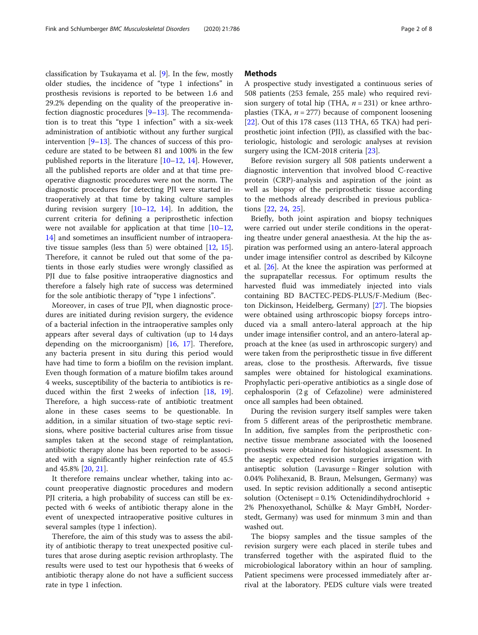classification by Tsukayama et al. [[9](#page-6-0)]. In the few, mostly older studies, the incidence of "type 1 infections" in prosthesis revisions is reported to be between 1.6 and 29.2% depending on the quality of the preoperative infection diagnostic procedures [[9](#page-6-0)–[13](#page-6-0)]. The recommendation is to treat this "type 1 infection" with a six-week administration of antibiotic without any further surgical intervention [\[9](#page-6-0)–[13\]](#page-6-0). The chances of success of this procedure are stated to be between 81 and 100% in the few published reports in the literature [[10](#page-6-0)–[12](#page-6-0), [14](#page-6-0)]. However, all the published reports are older and at that time preoperative diagnostic procedures were not the norm. The diagnostic procedures for detecting PJI were started intraoperatively at that time by taking culture samples during revision surgery  $[10-12, 14]$  $[10-12, 14]$  $[10-12, 14]$  $[10-12, 14]$  $[10-12, 14]$  $[10-12, 14]$  $[10-12, 14]$ . In addition, the current criteria for defining a periprosthetic infection were not available for application at that time  $[10-12,$  $[10-12,$  $[10-12,$  $[10-12,$  $[10-12,$ [14\]](#page-6-0) and sometimes an insufficient number of intraoperative tissue samples (less than 5) were obtained [[12](#page-6-0), [15](#page-6-0)]. Therefore, it cannot be ruled out that some of the patients in those early studies were wrongly classified as PJI due to false positive intraoperative diagnostics and therefore a falsely high rate of success was determined for the sole antibiotic therapy of "type 1 infections".

Moreover, in cases of true PJI, when diagnostic procedures are initiated during revision surgery, the evidence of a bacterial infection in the intraoperative samples only appears after several days of cultivation (up to 14 days depending on the microorganism) [[16,](#page-6-0) [17\]](#page-6-0). Therefore, any bacteria present in situ during this period would have had time to form a biofilm on the revision implant. Even though formation of a mature biofilm takes around 4 weeks, susceptibility of the bacteria to antibiotics is reduced within the first 2 weeks of infection [\[18](#page-6-0), [19](#page-6-0)]. Therefore, a high success-rate of antibiotic treatment alone in these cases seems to be questionable. In addition, in a similar situation of two-stage septic revisions, where positive bacterial cultures arise from tissue samples taken at the second stage of reimplantation, antibiotic therapy alone has been reported to be associated with a significantly higher reinfection rate of 45.5 and 45.8% [\[20](#page-6-0), [21](#page-6-0)].

It therefore remains unclear whether, taking into account preoperative diagnostic procedures and modern PJI criteria, a high probability of success can still be expected with 6 weeks of antibiotic therapy alone in the event of unexpected intraoperative positive cultures in several samples (type 1 infection).

Therefore, the aim of this study was to assess the ability of antibiotic therapy to treat unexpected positive cultures that arose during aseptic revision arthroplasty. The results were used to test our hypothesis that 6 weeks of antibiotic therapy alone do not have a sufficient success rate in type 1 infection.

## **Methods**

A prospective study investigated a continuous series of 508 patients (253 female, 255 male) who required revision surgery of total hip (THA,  $n = 231$ ) or knee arthroplasties (TKA,  $n = 277$ ) because of component loosening [[22\]](#page-6-0). Out of this 178 cases (113 THA, 65 TKA) had periprosthetic joint infection (PJI), as classified with the bacteriologic, histologic and serologic analyses at revision surgery using the ICM-2018 criteria [\[23](#page-6-0)].

Before revision surgery all 508 patients underwent a diagnostic intervention that involved blood C-reactive protein (CRP)-analysis and aspiration of the joint as well as biopsy of the periprosthetic tissue according to the methods already described in previous publications [\[22](#page-6-0), [24,](#page-6-0) [25\]](#page-7-0).

Briefly, both joint aspiration and biopsy techniques were carried out under sterile conditions in the operating theatre under general anaesthesia. At the hip the aspiration was performed using an antero-lateral approach under image intensifier control as described by Kilcoyne et al. [\[26](#page-7-0)]. At the knee the aspiration was performed at the suprapatellar recessus. For optimum results the harvested fluid was immediately injected into vials containing BD BACTEC-PEDS-PLUS/F-Medium (Becton Dickinson, Heidelberg, Germany) [\[27](#page-7-0)]. The biopsies were obtained using arthroscopic biopsy forceps introduced via a small antero-lateral approach at the hip under image intensifier control, and an antero-lateral approach at the knee (as used in arthroscopic surgery) and were taken from the periprosthetic tissue in five different areas, close to the prosthesis. Afterwards, five tissue samples were obtained for histological examinations. Prophylactic peri-operative antibiotics as a single dose of cephalosporin (2 g of Cefazoline) were administered once all samples had been obtained.

During the revision surgery itself samples were taken from 5 different areas of the periprosthetic membrane. In addition, five samples from the periprosthetic connective tissue membrane associated with the loosened prosthesis were obtained for histological assessment. In the aseptic expected revision surgeries irrigation with antiseptic solution (Lavasurge = Ringer solution with 0.04% Polihexanid, B. Braun, Melsungen, Germany) was used. In septic revision additionally a second antiseptic solution (Octenisept = 0.1% Octenidindihydrochlorid + 2% Phenoxyethanol, Schülke & Mayr GmbH, Norderstedt, Germany) was used for minmum 3 min and than washed out.

The biopsy samples and the tissue samples of the revision surgery were each placed in sterile tubes and transferred together with the aspirated fluid to the microbiological laboratory within an hour of sampling. Patient specimens were processed immediately after arrival at the laboratory. PEDS culture vials were treated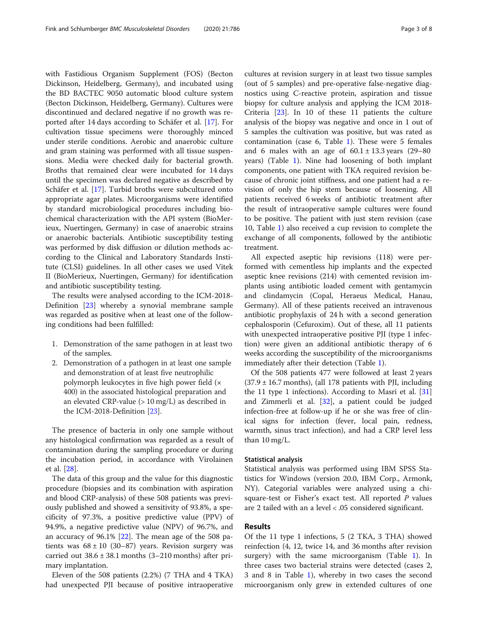with Fastidious Organism Supplement (FOS) (Becton Dickinson, Heidelberg, Germany), and incubated using the BD BACTEC 9050 automatic blood culture system (Becton Dickinson, Heidelberg, Germany). Cultures were discontinued and declared negative if no growth was reported after 14 days according to Schäfer et al. [[17\]](#page-6-0). For cultivation tissue specimens were thoroughly minced under sterile conditions. Aerobic and anaerobic culture and gram staining was performed with all tissue suspensions. Media were checked daily for bacterial growth. Broths that remained clear were incubated for 14 days until the specimen was declared negative as described by Schäfer et al. [[17\]](#page-6-0). Turbid broths were subcultured onto appropriate agar plates. Microorganisms were identified by standard microbiological procedures including biochemical characterization with the API system (BioMerieux, Nuertingen, Germany) in case of anaerobic strains or anaerobic bacterials. Antibiotic susceptibility testing was performed by disk diffusion or dilution methods according to the Clinical and Laboratory Standards Institute (CLSI) guidelines. In all other cases we used Vitek II (BioMerieux, Nuertingen, Germany) for identification and antibiotic susceptibility testing.

The results were analysed according to the ICM-2018- Definition [[23](#page-6-0)] whereby a synovial membrane sample was regarded as positive when at least one of the following conditions had been fulfilled:

- 1. Demonstration of the same pathogen in at least two of the samples.
- 2. Demonstration of a pathogen in at least one sample and demonstration of at least five neutrophilic polymorph leukocytes in five high power field (× 400) in the associated histological preparation and an elevated CRP-value  $(>10 \text{ mg/L})$  as described in the ICM-2018-Definition [[23](#page-6-0)].

The presence of bacteria in only one sample without any histological confirmation was regarded as a result of contamination during the sampling procedure or during the incubation period, in accordance with Virolainen et al. [\[28](#page-7-0)].

The data of this group and the value for this diagnostic procedure (biopsies and its combination with aspiration and blood CRP-analysis) of these 508 patients was previously published and showed a sensitivity of 93.8%, a specificity of 97.3%, a positive predictive value (PPV) of 94.9%, a negative predictive value (NPV) of 96.7%, and an accuracy of 96.1% [\[22](#page-6-0)]. The mean age of the 508 patients was  $68 \pm 10$  (30-87) years. Revision surgery was carried out  $38.6 \pm 38.1$  months  $(3-210$  months) after primary implantation.

Eleven of the 508 patients (2.2%) (7 THA and 4 TKA) had unexpected PJI because of positive intraoperative

cultures at revision surgery in at least two tissue samples (out of 5 samples) and pre-operative false-negative diagnostics using C-reactive protein, aspiration and tissue biopsy for culture analysis and applying the ICM 2018- Criteria [[23\]](#page-6-0). In 10 of these 11 patients the culture analysis of the biopsy was negative and once in 1 out of 5 samples the cultivation was positive, but was rated as contamination (case 6, Table [1\)](#page-3-0). These were 5 females and 6 males with an age of  $60.1 \pm 13.3$  years (29–80) years) (Table [1](#page-3-0)). Nine had loosening of both implant components, one patient with TKA required revision because of chronic joint stiffness, and one patient had a revision of only the hip stem because of loosening. All patients received 6 weeks of antibiotic treatment after the result of intraoperative sample cultures were found to be positive. The patient with just stem revision (case 10, Table [1\)](#page-3-0) also received a cup revision to complete the exchange of all components, followed by the antibiotic treatment.

All expected aseptic hip revisions (118) were performed with cementless hip implants and the expected aseptic knee revisions (214) with cemented revision implants using antibiotic loaded cement with gentamycin and clindamycin (Copal, Heraeus Medical, Hanau, Germany). All of these patients received an intravenous antibiotic prophylaxis of 24 h with a second generation cephalosporin (Cefuroxim). Out of these, all 11 patients with unexpected intraoperative positive PJI (type 1 infection) were given an additional antibiotic therapy of 6 weeks according the susceptibility of the microorganisms immediately after their detection (Table [1\)](#page-3-0).

Of the 508 patients 477 were followed at least 2 years  $(37.9 \pm 16.7 \text{ months})$ , (all 178 patients with PJI, including the 11 type 1 infections). According to Masri et al. [[31](#page-7-0)] and Zimmerli et al. [[32](#page-7-0)], a patient could be judged infection-free at follow-up if he or she was free of clinical signs for infection (fever, local pain, redness, warmth, sinus tract infection), and had a CRP level less than 10 mg/L.

#### Statistical analysis

Statistical analysis was performed using IBM SPSS Statistics for Windows (version 20.0, IBM Corp., Armonk, NY). Categorial variables were analyzed using a chisquare-test or Fisher's exact test. All reported  $P$  values are 2 tailed with an a level < .05 considered significant.

## Results

Of the 11 type 1 infections, 5 (2 TKA, 3 THA) showed reinfection (4, 12, twice 14, and 36 months after revision surgery) with the same microorganism (Table [1\)](#page-3-0). In three cases two bacterial strains were detected (cases 2, 3 and 8 in Table [1\)](#page-3-0), whereby in two cases the second microorganism only grew in extended cultures of one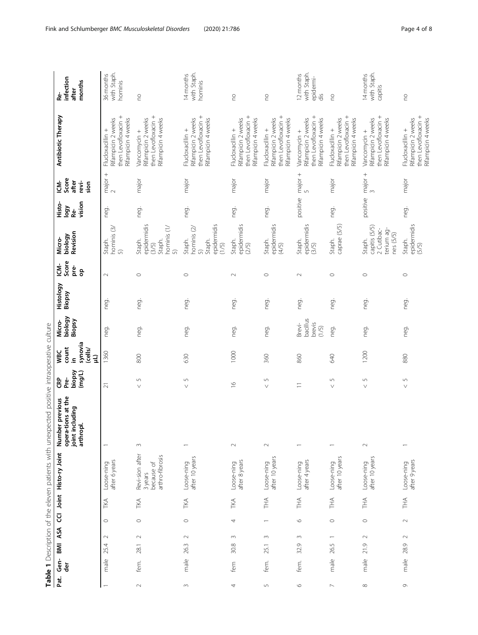<span id="page-3-0"></span>

|                          |             |      |                               |                 |                                                             | Table 1 Description of the eleven patients with unexpected positive intraoperative culture |                                   |                                                                            |                                       |                     |                          |                                                                  |                                        |                                      |                                                                                     |                                              |
|--------------------------|-------------|------|-------------------------------|-----------------|-------------------------------------------------------------|--------------------------------------------------------------------------------------------|-----------------------------------|----------------------------------------------------------------------------|---------------------------------------|---------------------|--------------------------|------------------------------------------------------------------|----------------------------------------|--------------------------------------|-------------------------------------------------------------------------------------|----------------------------------------------|
| Pat.                     | Gen-<br>der | BMI  | ASA                           |                 | CCI Joint Histo-ry Joint                                    | opera-tions at the<br>Number previous<br>including<br>arthropl.<br>joint i                 | biopsy<br>$($ mg/L)<br>පි<br>Pre- | synovia<br>count<br>(cells/<br><b>VBC</b><br>$\overline{4}$<br>$\tilde{=}$ | biology<br>Biopsy<br>Micro-           | Histology<br>Biopsy | Score<br>รั<br>pre-<br>8 | Revision<br>biology<br>Micro-                                    | vision<br>Histo-<br>Vibol<br><u>de</u> | Score<br>after<br>ξ<br>revi-<br>sion | Antibiotic Therapy                                                                  | infection<br>months<br>after<br>Re-          |
|                          | male        | 25.4 | $\circ$<br>$\sim$             | TKA             | after 6 years<br>Loose-ning                                 |                                                                                            | $\overline{2}1$                   | 1360                                                                       | neg.                                  | neg.                | $\sim$                   | hominis (3/<br>Staph.<br>5                                       | neg.                                   | major +<br>$\frac{2}{2}$             | then Levofloxacin +<br>Rifampicin 4 weeks<br>Rifampicin 2 weeks<br>Flucloxacillin + | with Staph.<br>36 months<br>hominis          |
| $\sim$                   | fem.        | 28.1 | $\circ$<br>$\scriptstyle\sim$ | TKA             | Revi-sion after<br>arthro-fibrosis<br>because of<br>3 years | $\sim$                                                                                     | $\sqrt{2}$<br>$\vee$              | 800                                                                        | neg.                                  | neg.                | $\circ$                  | epidermidis<br>hominis (1/<br>Staph.<br>Staph.<br>(3/5)<br>5     | neg.                                   | major                                | then Levofloxacin +<br>Rifampicin 2 weeks<br>Rifampicin 4 weeks<br>Vancomycin +     | $\overline{C}$                               |
| $\sim$                   | male        | 26.3 | $\circ$<br>$\sim$             | TKA             | after 10 years<br>Loose-ning                                |                                                                                            | S<br>$\vee$                       | 630                                                                        | neg.                                  | neg.                | $\circ$                  | epidermidis<br>hominis (2/<br>Staph.<br>Staph.<br>(1/5)<br>5     | neg.                                   | major                                | then Levofloxacin +<br>Rifampicin 2 weeks<br>Rifampicin 4 weeks<br>Flucloxacillin + | with Staph.<br>14 months<br>hominis          |
| 4                        | fem         | 30.8 | 4<br>$\sim$                   | TKA             | after 8 years<br>Loose-ning                                 | $\sim$                                                                                     | $\frac{0}{1}$                     | 1000                                                                       | neg.                                  | neg.                | $\sim$                   | epidermidis<br>Staph.<br>(2/5)                                   | neg.                                   | major                                | then Levofloxacin +<br>Rifampicin 2 weeks<br>Rifampicin 4 weeks<br>Flucloxacillin + | <b>DU</b>                                    |
| 5                        | fem.        | 25.1 | $\overline{\phantom{0}}$<br>3 | THA <sub></sub> | after 10 years<br>Loose-ning                                | $\sim$                                                                                     | $\mathsf{L}\cap$<br>$\vee$        | 360                                                                        | neg.                                  | neg.                | $\circ$                  | epidermidis<br>Staph.<br>(4/5)                                   | neg.                                   | major                                | then Levofloxacin +<br>Rifampicin 2 weeks<br>Rifampicin 4 weeks<br>Flucloxacillin + | <b>DU</b>                                    |
| $\circ$                  | fem.        | 32.9 | $\circ$<br>$\sim$             | THA             | after 4 years<br>Loose-ning                                 | $\overline{\phantom{0}}$                                                                   | $\equiv$                          | 860                                                                        | bacillus<br>Brevi-<br>brevis<br>(1/5) | neg.                | $\sim$                   | epidermidis<br>Staph.<br>(3/5)                                   | positive                               | major +<br>5                         | then Levofloxacin +<br>Rifampicin 2 weeks<br>Rifampicin 4 weeks<br>Vancomycin +     | with Staph.<br>12 months<br>epidermi-<br>dis |
| $\overline{\phantom{0}}$ | male        | 26.5 | $\circ$                       | THA             | after 10 years<br>Loose-ning                                | $\overline{\phantom{0}}$                                                                   | $\sqrt{ }$<br>$\vee$              | 640                                                                        | neg.                                  | neg.                | $\circ$                  | caprae (5/5)<br>Staph.                                           | neg.                                   | major                                | then Levofloxacin +<br>Rifampicin 4 weeks<br>Rifampicin 2 weeks<br>Flucloxacillin + | <b>DU</b>                                    |
| ${}^{\infty}$            | male        | 21.9 | $\circ$<br>$\sim$             | THA             | after 10 years<br>Loose-ning                                | $\sim$                                                                                     | S<br>$\vee$                       | 1200                                                                       | neg.                                  | neg.                | $\circ$                  | capitis (5/5)<br>terium ag-<br>nes (5/5)<br>2 Cutibac-<br>Staph. | positive                               | $\frac{1}{3}$ major +                | then Levofloxacin +<br>Rifampicin 2 weeks<br>Rifampicin 4 weeks<br>Vancomycin +     | with Staph.<br>14 months<br>capitis          |
| $\circ$                  | male        | 28.9 | $\sim$<br>$\sim$              | 千<br>三          | after 9 years<br>Loose-ning                                 |                                                                                            | $\mathfrak{c}$<br>$\vee$          | 880                                                                        | neg.                                  | neg.                | $\circ$                  | epidermidis<br>Staph.<br>(5/5)                                   | neg.                                   | major                                | then Levofloxacin +<br>Rifampicin 4 weeks<br>Rifampicin 2 weeks<br>Flucloxacillin + | <b>DU</b>                                    |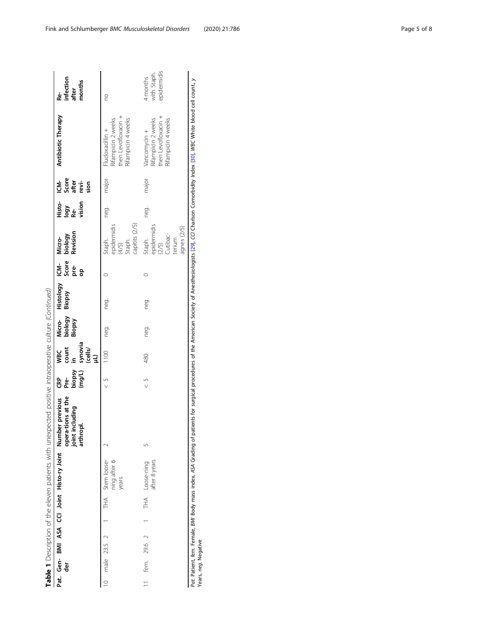|                                                                                                        | infection<br>after<br>months<br>ء<br>م                                                                           | 20                                                                                  | epidermidis<br>with Staph.<br>4 months                                          |
|--------------------------------------------------------------------------------------------------------|------------------------------------------------------------------------------------------------------------------|-------------------------------------------------------------------------------------|---------------------------------------------------------------------------------|
|                                                                                                        | Antibiotic Therapy                                                                                               | then Levofloxacin +<br>Rifampicin 2 weeks<br>Rifampicin 4 weeks<br>Flucloxacillin + | then Levofloxacin +<br>Rifampicin 2 weeks<br>Rifampicin 4 weeks<br>Vancomycin + |
|                                                                                                        | CM-<br>Score<br># evi-<br>sion                                                                                   | major                                                                               | major                                                                           |
|                                                                                                        | 사항<br>Iogy<br><sub>Se 'S</sub> ion                                                                               | neg.                                                                                | neg.                                                                            |
|                                                                                                        | Micro-<br>biology<br>Revision                                                                                    | capitits (2/5)<br>epidermidis<br>(4/5)<br>Staph.<br>Staph.                          | epidermidis<br>(2/5)<br>agnes (2/5)<br>Cutibac-<br>terium<br>Staph.             |
|                                                                                                        |                                                                                                                  |                                                                                     |                                                                                 |
|                                                                                                        | Micro- Histology ICM- <i>N</i><br>biology Biopsy Score b<br>Biopsy Biopsy Pre- R<br>a                            | neg.                                                                                | neg.                                                                            |
|                                                                                                        |                                                                                                                  | neg.                                                                                | neg.                                                                            |
|                                                                                                        | synovia<br>(cells/<br> LL)<br>count<br>in<br><b>WBC</b>                                                          | 1100                                                                                | 480                                                                             |
|                                                                                                        | (J/Buu)<br>Ksdo <sub>l</sub> q<br>CRP<br>Pré-                                                                    | $\frac{5}{1}$                                                                       |                                                                                 |
| Table 1 Description of the eleven patients with unexpected positive intraoperative culture (Continued) | opera-tions at the<br>joint including<br>arthropl.<br>Pat. Gen- BMI ASA CCI Joint Histo-ry Joint Number previous |                                                                                     |                                                                                 |
|                                                                                                        |                                                                                                                  | THA Stem loose-<br>ning after 6<br>years                                            | after 8 years<br>THA Loose-ning                                                 |
|                                                                                                        |                                                                                                                  |                                                                                     |                                                                                 |
|                                                                                                        |                                                                                                                  |                                                                                     |                                                                                 |
|                                                                                                        |                                                                                                                  | male 23.5 2                                                                         |                                                                                 |
|                                                                                                        |                                                                                                                  |                                                                                     |                                                                                 |
|                                                                                                        | 흥                                                                                                                |                                                                                     | 11 fem. 29.6 2                                                                  |
|                                                                                                        |                                                                                                                  |                                                                                     |                                                                                 |

Pat. Patient, fem. Female, BMI Body mass index, ASA Grading of patients for surgical procedures of the American Society of Anesthesiologists [29], CCI Charlson Comorbidity Index [30], WBC White blood cell count., y<br>Years, Pat. Patient, female, BMI Body mass index, ASA Grading of patients for surgical procedures of the American Society of Anesthesiologists [\[29\]](#page-7-0), CCI Charlson Comorbidity Index [[30](#page-7-0)], White blood cell count., y Years, neg. Negative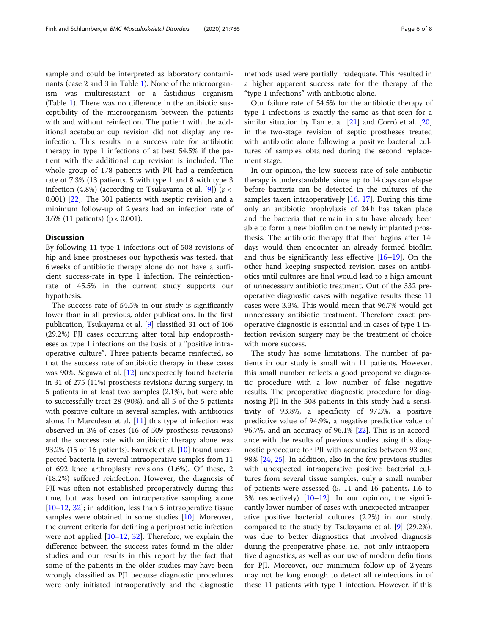sample and could be interpreted as laboratory contaminants (case 2 and 3 in Table [1\)](#page-3-0). None of the microorganism was multiresistant or a fastidious organism (Table [1](#page-3-0)). There was no difference in the antibiotic susceptibility of the microorganism between the patients with and without reinfection. The patient with the additional acetabular cup revision did not display any reinfection. This results in a success rate for antibiotic therapy in type 1 infections of at best 54.5% if the patient with the additional cup revision is included. The whole group of 178 patients with PJI had a reinfection rate of 7.3% (13 patients, 5 with type 1 and 8 with type 3 infection (4.8%) (according to Tsukayama et al. [\[9](#page-6-0)]) ( $p <$ 0.001) [\[22\]](#page-6-0). The 301 patients with aseptic revision and a minimum follow-up of 2 years had an infection rate of 3.6% (11 patients) (p < 0.001).

#### **Discussion**

By following 11 type 1 infections out of 508 revisions of hip and knee prostheses our hypothesis was tested, that 6 weeks of antibiotic therapy alone do not have a sufficient success-rate in type 1 infection. The reinfectionrate of 45.5% in the current study supports our hypothesis.

The success rate of 54.5% in our study is significantly lower than in all previous, older publications. In the first publication, Tsukayama et al. [[9\]](#page-6-0) classified 31 out of 106 (29.2%) PJI cases occurring after total hip endoprostheses as type 1 infections on the basis of a "positive intraoperative culture". Three patients became reinfected, so that the success rate of antibiotic therapy in these cases was 90%. Segawa et al. [\[12](#page-6-0)] unexpectedly found bacteria in 31 of 275 (11%) prosthesis revisions during surgery, in 5 patients in at least two samples (2.1%), but were able to successfully treat 28 (90%), and all 5 of the 5 patients with positive culture in several samples, with antibiotics alone. In Marculesu et al. [\[11](#page-6-0)] this type of infection was observed in 3% of cases (16 of 509 prosthesis revisions) and the success rate with antibiotic therapy alone was 93.2% (15 of 16 patients). Barrack et al. [\[10\]](#page-6-0) found unexpected bacteria in several intraoperative samples from 11 of 692 knee arthroplasty revisions (1.6%). Of these, 2 (18.2%) suffered reinfection. However, the diagnosis of PJI was often not established preoperatively during this time, but was based on intraoperative sampling alone  $[10–12, 32]$  $[10–12, 32]$  $[10–12, 32]$  $[10–12, 32]$  $[10–12, 32]$  $[10–12, 32]$ ; in addition, less than 5 intraoperative tissue samples were obtained in some studies [\[10](#page-6-0)]. Moreover, the current criteria for defining a periprosthetic infection were not applied  $[10-12, 32]$  $[10-12, 32]$  $[10-12, 32]$  $[10-12, 32]$  $[10-12, 32]$ . Therefore, we explain the difference between the success rates found in the older studies and our results in this report by the fact that some of the patients in the older studies may have been wrongly classified as PJI because diagnostic procedures were only initiated intraoperatively and the diagnostic methods used were partially inadequate. This resulted in a higher apparent success rate for the therapy of the "type 1 infections" with antibiotic alone.

Our failure rate of 54.5% for the antibiotic therapy of type 1 infections is exactly the same as that seen for a similar situation by Tan et al. [\[21](#page-6-0)] and Corró et al. [[20](#page-6-0)] in the two-stage revision of septic prostheses treated with antibiotic alone following a positive bacterial cultures of samples obtained during the second replacement stage.

In our opinion, the low success rate of sole antibiotic therapy is understandable, since up to 14 days can elapse before bacteria can be detected in the cultures of the samples taken intraoperatively [\[16,](#page-6-0) [17](#page-6-0)]. During this time only an antibiotic prophylaxis of 24 h has taken place and the bacteria that remain in situ have already been able to form a new biofilm on the newly implanted prosthesis. The antibiotic therapy that then begins after 14 days would then encounter an already formed biofilm and thus be significantly less effective  $[16–19]$  $[16–19]$  $[16–19]$  $[16–19]$ . On the other hand keeping suspected revision cases on antibiotics until cultures are final would lead to a high amount of unnecessary antibiotic treatment. Out of the 332 preoperative diagnostic cases with negative results these 11 cases were 3.3%. This would mean that 96.7% would get unnecessary antibiotic treatment. Therefore exact preoperative diagnostic is essential and in cases of type 1 infection revision surgery may be the treatment of choice with more success.

The study has some limitations. The number of patients in our study is small with 11 patients. However, this small number reflects a good preoperative diagnostic procedure with a low number of false negative results. The preoperative diagnostic procedure for diagnosing PJI in the 508 patients in this study had a sensitivity of 93.8%, a specificity of 97.3%, a positive predictive value of 94.9%, a negative predictive value of 96.7%, and an accuracy of 96.1% [\[22](#page-6-0)]. This is in accordance with the results of previous studies using this diagnostic procedure for PJI with accuracies between 93 and 98% [\[24](#page-6-0), [25](#page-7-0)]. In addition, also in the few previous studies with unexpected intraoperative positive bacterial cultures from several tissue samples, only a small number of patients were assessed (5, 11 and 16 patients, 1.6 to 3% respectively) [[10](#page-6-0)–[12](#page-6-0)]. In our opinion, the significantly lower number of cases with unexpected intraoperative positive bacterial cultures (2.2%) in our study, compared to the study by Tsukayama et al. [\[9](#page-6-0)] (29.2%), was due to better diagnostics that involved diagnosis during the preoperative phase, i.e., not only intraoperative diagnostics, as well as our use of modern definitions for PJI. Moreover, our minimum follow-up of 2 years may not be long enough to detect all reinfections in of these 11 patients with type 1 infection. However, if this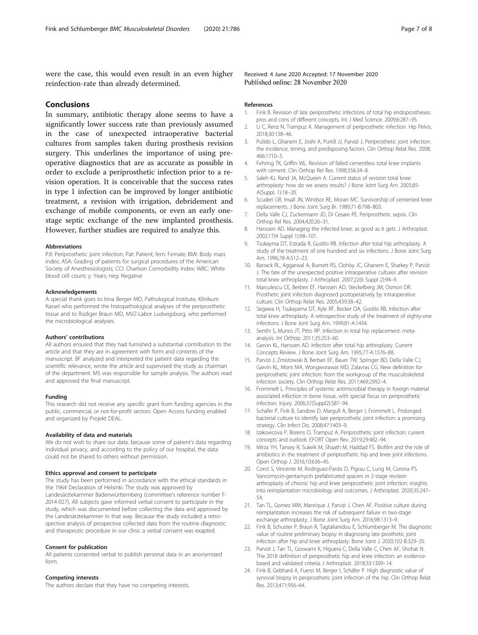<span id="page-6-0"></span>were the case, this would even result in an even higher reinfection-rate than already determined.

## Conclusions

In summary, antibiotic therapy alone seems to have a significantly lower success rate than previously assumed in the case of unexpected intraoperative bacterial cultures from samples taken during prosthesis revision surgery. This underlines the importance of using preoperative diagnostics that are as accurate as possible in order to exclude a periprosthetic infection prior to a revision operation. It is conceivable that the success rates in type 1 infection can be improved by longer antibiotic treatment, a revision with irrigation, debridement and exchange of mobile components, or even an early onestage septic exchange of the new implanted prosthesis. However, further studies are required to analyze this.

#### Abbreviations

PJI: Periprosthetic joint infection; Pat: Patient; fem: Female; BMI: Body mass index; ASA: Grading of patients for surgical procedures of the American Society of Anesthesiologists; CCI: Charlson Comorbidity Index; WBC: White blood cell count; y: Years; neg: Negative

#### Acknowledgements

A special thank goes to Irina Berger MD, Pathological Institute, Klinikum Kassel who performed the histopathological analyses of the periprosthetic tissue and to Rüdiger Braun MD, MVZ-Labor Ludwigsburg, who performed the microbiological analyses.

#### Authors' contributions

All authors ensured that they had furnished a substantial contribution to the article and that they are in agreement with form and contents of the manuscript. BF analyzed and interpreted the patient data regarding the scientific relevance, wrote the article and supervised the study as chairman of the department. MS was responsible for sample analysis. The authors read and approved the final manuscript.

#### Funding

This research did not receive any specific grant from funding agencies in the public, commercial, or not-for-profit sectors. Open Access funding enabled and organized by Projekt DEAL.

## Availability of data and materials

We do not wish to share our data, because some of patient's data regarding individual privacy, and according to the policy of our hospital, the data could not be shared to others without permission.

## Ethics approval and consent to participate

The study has been performed in accordance with the ethical standards in the 1964 Declaration of Helsinki. The study was approved by Landesärztekammer Badenwürttemberg (committee's reference number F-2014-027). All subjects gave informed verbal consent to participate in the study, which was documented before collecting the data and approved by the Landesärztekammer in that way. Because the study included a retrospective analysis of prospective collected data from the routine diagnostic and therapeutic procedure in our clinic a verbal consent was exapted.

#### Consent for publication

All patients consented verbal to publish personal data in an anonymized form.

#### Competing interests

The authors declare that they have no competing interests.

Received: 4 June 2020 Accepted: 17 November 2020 Published online: 28 November 2020

#### References

- 1. Fink B. Revision of late periprosthetic infections of total hip endoprostheses: pros and cons of different concepts. Int J Med Science. 2009;6:287–95.
- 2. Li C, Renz N, Trampuz A. Management of periprosthetic infection. Hip Pelvis. 2018;30:138–46.
- 3. Pulido L, Ghanem E, Joshi A, Purtill JJ, Parvizi J. Periprosthetic joint infection: the incidence, timing, and predisposing factors. Clin Orthop Relat Res. 2008; 466:1710–5.
- 4. Fehring TK, Griffin WL. Revision of failed cementless total knee implants with cement. Clin Orthop Rel Res. 1998;356:34–8.
- 5. Saleh KJ, Rand JA, McQueen A. Current status of revision total knee arthroplasty: how do we assess results? J Bone Joint Surg Am. 2003;85- A(Suppl. 1):18–20.
- 6. Scuderi GR, Insall JN, Windsor RE, Moran MC. Survivorship of cemented knee replacements. J Bone Joint Surg Br. 1989;71-B:798–803.
- 7. Della Valle CJ, Zuckermann JD, Di Cesare PE. Periprosthetic sepsis. Clin Orthop Rel Res. 2004;420:26–31.
- 8. Hanssen AD. Managing the infected knee: as good as it gets. J Arthroplast. 2002;17(4 Suppl 1):98–101.
- 9. Tsukayma DT, Estrada R, Gustilo RB. Infection after total hip arthroplasty. A study of the treatment of one hundred and six infections. J Bone Joint Surg Am. 1996;78-A:512–23.
- 10. Barrack RL, Aggarwal A, Burnett RS, Clohisy JC, Ghanem E, Sharkey P, Parvizi J. The fate of the unexpected positive intraoperative cultures after revision total knee arthroplasty. J Arthroplast. 2007;22(6 Suppl 2):94–9.
- 11. Marculescu CE, Berberi EF, Hanssen AD, Steckelberg JM, Osmon DR. Prosthetic joint infection diagnosed postoperatively by intraoperative culture. Clin Orthop Relat Res. 2005;439:38–42.
- 12. Segawa H, Tsukayama DT, Kyle RF, Becker DA, Gustilo RB. Infection after total knee arthroplasty. A retrospective study of the treatment of eighty-one infections. J Bone Jont Surg Am. 1999;81-A:1434.
- 13. Senthi S, Munro JT, Pitto RP. Infection in total hip replacement: metaanalysis. Int Orthop. 2011;35:253–60.
- 14. Garvin KL, Hanssen AD. Infection after total hip arthroplasty. Current Concepts Review. J Bone Joint Surg Am. 1995;77-A:1576–88.
- 15. Parvizi J, Zmistowski B, Berbari EF, Bauer TW, Springer BD, Della Valle CJ, Garvin KL, Mont MA, Wongworawat MD, Zalavras CG. New definition for periprosthetic joint infection: from the workgroup of the musculoskeletal infection society. Clin Orthop Relat Res. 2011;469:2992–4.
- 16. Frommelt L. Principles of systemic antimicrobial therapy in foreign material associated infection in bone tissue, with special focus on periprosthetic infection. Injury. 2006;37(Suppl2):S87–94.
- 17. Schäfer P, Fink B, Sandow D, Margull A, Berger I, Frommelt L. Prolonged bacterial culture to identify late periprosthetic joint infection: a promising strategy. Clin Infect Dis. 2008;47:1403–9.
- 18. Izakovicova P, Borens O, Trampuz A. Periprosthetic joint infection: current concepts and outlook. EFORT Open Rev. 2019;29:482–94.
- 19. Mirza YH, Tansey R, Sukeik M, Shaath M, Haddad FS. Biofilm and the role of antibiotics in the treatment of periprosthetic hip and knee joint infections. Open Orthop J. 2016;10:636–45.
- 20. Corró S, Vincente M, Rodriguez-Pardo D, Pigrau C, Lung M, Corona PS. Vancomycin-gentamycin prefabricated spacers in 2-stage revision arthroplasty of chronic hip and knee periprosthetic joint infection: insights into reimplantation microbiology and outcomes. J Arthroplast. 2020;35:247– 54.
- 21. Tan TL, Gomez MM, Manrique J, Parvizi J, Chen AF. Positive culture during reimplantation increases the risk of subsequent failure in two-stage exchange arthroplasty. J Bone Joint Surg Am. 2016;98:1313–9.
- 22. Fink B, Schuster P, Braun R, Tagtalianidou E, Schlumberger M. The diagnostic value of routine preliminary biopsy in diagnosing late prosthetic joint infection after hip and knee arthroplasty. Bone Joint J. 2020;102-B:329–35.
- 23. Parvizi J, Tan TL, Goswami K, Higuera C, Della Valle C, Chen AF, Shohat N. The 2018 definition of periprosthetic hip and knee infection: an evidencebased and validated criteria. J Arthroplast. 2018;33:1309–14.
- 24. Fink B, Gebhard A, Fuerst M, Berger I, Schäfer P. High diagnostic value of synovial biopsy in periprosthetic joint infection of the hip. Clin Orthop Relat Res. 2013;471:956–64.